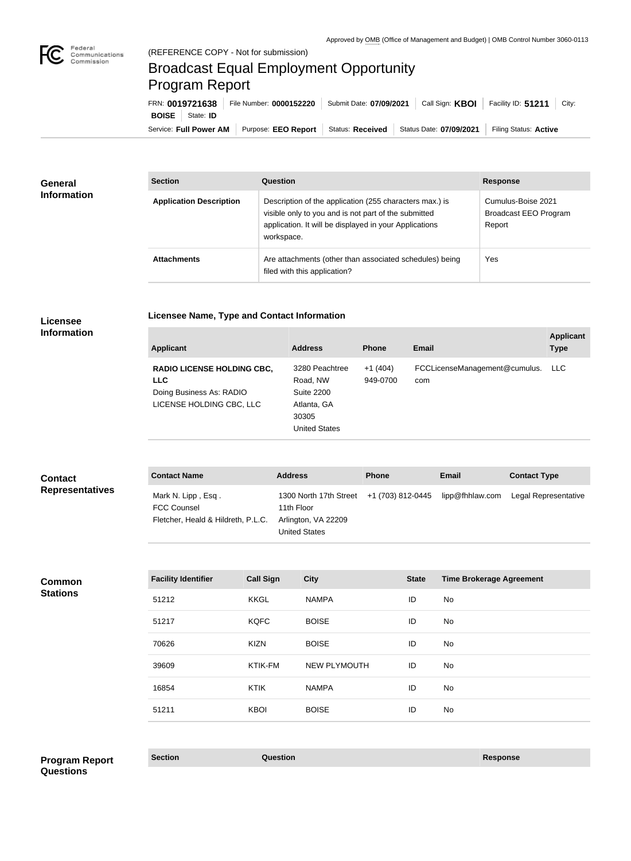

## Broadcast Equal Employment Opportunity Program Report

**Licensee Name, Type and Contact Information**

Service: Full Power AM | Purpose: EEO Report | Status: Received | Status Date: 07/09/2021 | Filing Status: Active **BOISE** State: **ID** FRN: **0019721638** File Number: **0000152220** Submit Date: **07/09/2021** Call Sign: **KBOI** Facility ID: **51211** City:

| <b>General</b><br><b>Information</b> | <b>Section</b>                 | Question                                                                                                                                                                                | <b>Response</b>                                       |
|--------------------------------------|--------------------------------|-----------------------------------------------------------------------------------------------------------------------------------------------------------------------------------------|-------------------------------------------------------|
|                                      | <b>Application Description</b> | Description of the application (255 characters max.) is<br>visible only to you and is not part of the submitted<br>application. It will be displayed in your Applications<br>workspace. | Cumulus-Boise 2021<br>Broadcast EEO Program<br>Report |
|                                      | <b>Attachments</b>             | Are attachments (other than associated schedules) being<br>filed with this application?                                                                                                 | Yes                                                   |

## **Licensee Information**

| <b>Applicant</b>                                                                                        | <b>Address</b>                                                                           | <b>Phone</b>          | Email                                | <b>Applicant</b><br><b>Type</b> |
|---------------------------------------------------------------------------------------------------------|------------------------------------------------------------------------------------------|-----------------------|--------------------------------------|---------------------------------|
| <b>RADIO LICENSE HOLDING CBC,</b><br><b>LLC</b><br>Doing Business As: RADIO<br>LICENSE HOLDING CBC, LLC | 3280 Peachtree<br>Road, NW<br>Suite 2200<br>Atlanta, GA<br>30305<br><b>United States</b> | $+1(404)$<br>949-0700 | FCCLicenseManagement@cumulus.<br>com | LLC.                            |

| <b>Contact</b>         | <b>Contact Name</b>                                                            | <b>Address</b>                                                                                                        | <b>Phone</b> | <b>Email</b> | <b>Contact Type</b>  |
|------------------------|--------------------------------------------------------------------------------|-----------------------------------------------------------------------------------------------------------------------|--------------|--------------|----------------------|
| <b>Representatives</b> | Mark N. Lipp, Esq.<br><b>FCC Counsel</b><br>Fletcher, Heald & Hildreth, P.L.C. | 1300 North 17th Street +1 (703) 812-0445 lipp@fhhlaw.com<br>11th Floor<br>Arlington, VA 22209<br><b>United States</b> |              |              | Legal Representative |

**Common Stations**

| <b>Facility Identifier</b> | <b>Call Sign</b> | <b>City</b>         | <b>State</b> | <b>Time Brokerage Agreement</b> |
|----------------------------|------------------|---------------------|--------------|---------------------------------|
| 51212                      | <b>KKGL</b>      | <b>NAMPA</b>        | ID           | No                              |
| 51217                      | <b>KQFC</b>      | <b>BOISE</b>        | ID           | No                              |
| 70626                      | <b>KIZN</b>      | <b>BOISE</b>        | ID           | No                              |
| 39609                      | KTIK-FM          | <b>NEW PLYMOUTH</b> | ID           | No                              |
| 16854                      | <b>KTIK</b>      | <b>NAMPA</b>        | ID           | No                              |
| 51211                      | <b>KBOI</b>      | <b>BOISE</b>        | ID           | No                              |

**Section Question Response Program Report Questions**